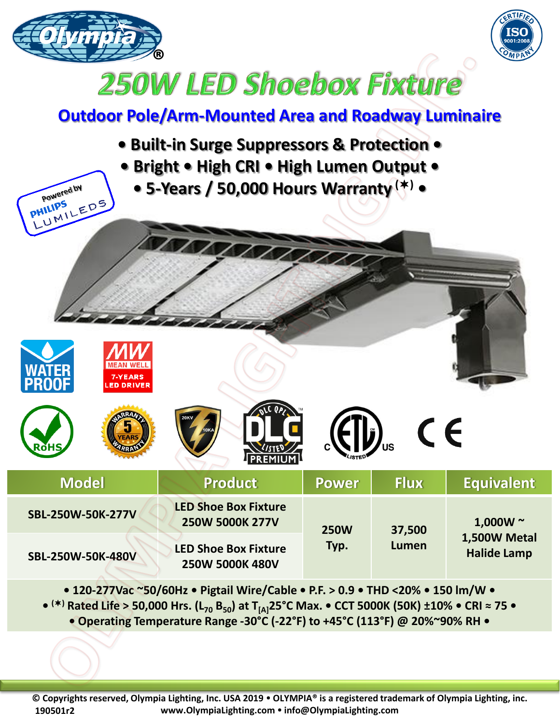



## **250W LED Shoebox Fixture**

## **Outdoor Pole/Arm-Mounted Area and Roadway Luminaire**

**• Built-in Surge Suppressors & Protection • • Bright • High CRI • High Lumen Output • • 5-Years / 50,000 Hours Warranty () •** Powered by UMILEDS **PHILIPS** 7-YEARS ED DRIVER CE

| <b>Model</b>      | <b>Product</b>                                 | <b>Power</b>        | <b>Flux</b>     | <b>Equivalent</b>                                   |
|-------------------|------------------------------------------------|---------------------|-----------------|-----------------------------------------------------|
| SBL-250W-50K-277V | <b>LED Shoe Box Fixture</b><br>250W 5000K 277V | <b>250W</b><br>Typ. | 37,500<br>Lumen | 1,000W $\sim$<br>1,500W Metal<br><b>Halide Lamp</b> |
| SBL-250W-50K-480V | <b>LED Shoe Box Fixture</b><br>250W 5000K 480V |                     |                 |                                                     |

**• 120-277Vac ~50/60Hz • Pigtail Wire/Cable • P.F. > 0.9 • THD <20% • 150 lm/W • • () Rated Life > 50,000 Hrs. (L<sup>70</sup> B50) at T[A]25°C Max. • CCT 5000K (50K) ±10% • CRI ≈ 75 • • Operating Temperature Range -30°C (-22°F) to +45°C (113°F) @ 20%~90% RH •**

**© Copyrights reserved, Olympia Lighting, Inc. USA 2019 OLYMPIA® is a registered trademark of Olympia Lighting, inc. www.OlympiaLighting.com info@OlympiaLighting.com 190501r2**